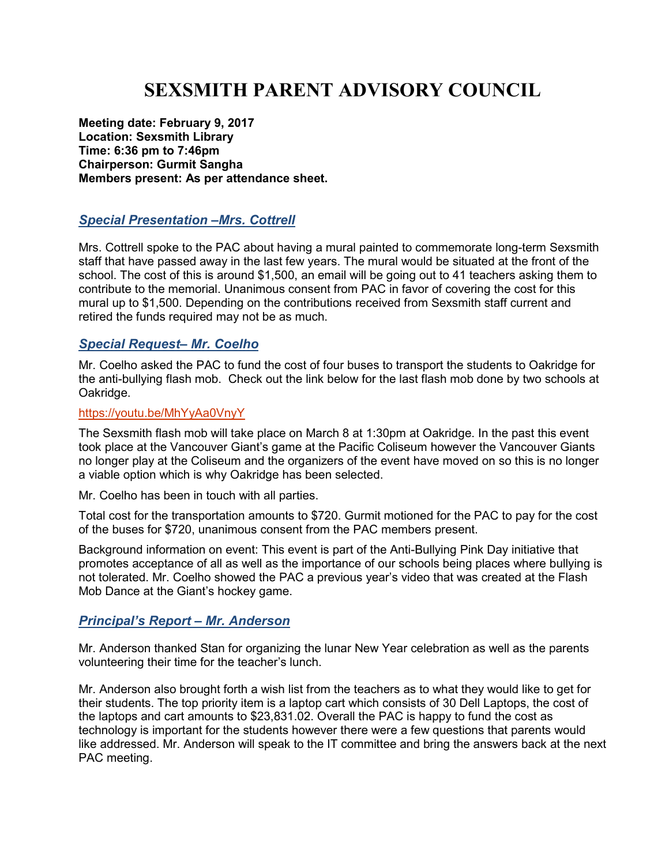# **SEXSMITH PARENT ADVISORY COUNCIL**

**Meeting date: February 9, 2017 Location: Sexsmith Library Time: 6:36 pm to 7:46pm Chairperson: Gurmit Sangha Members present: As per attendance sheet.** 

### *Special Presentation –Mrs. Cottrell*

Mrs. Cottrell spoke to the PAC about having a mural painted to commemorate long-term Sexsmith staff that have passed away in the last few years. The mural would be situated at the front of the school. The cost of this is around \$1,500, an email will be going out to 41 teachers asking them to contribute to the memorial. Unanimous consent from PAC in favor of covering the cost for this mural up to \$1,500. Depending on the contributions received from Sexsmith staff current and retired the funds required may not be as much.

#### *Special Request– Mr. Coelho*

Mr. Coelho asked the PAC to fund the cost of four buses to transport the students to Oakridge for the anti-bullying flash mob. Check out the link below for the last flash mob done by two schools at Oakridge.

#### https://youtu.be/MhYyAa0VnyY

The Sexsmith flash mob will take place on March 8 at 1:30pm at Oakridge. In the past this event took place at the Vancouver Giant's game at the Pacific Coliseum however the Vancouver Giants no longer play at the Coliseum and the organizers of the event have moved on so this is no longer a viable option which is why Oakridge has been selected.

Mr. Coelho has been in touch with all parties.

Total cost for the transportation amounts to \$720. Gurmit motioned for the PAC to pay for the cost of the buses for \$720, unanimous consent from the PAC members present.

Background information on event: This event is part of the Anti-Bullying Pink Day initiative that promotes acceptance of all as well as the importance of our schools being places where bullying is not tolerated. Mr. Coelho showed the PAC a previous year's video that was created at the Flash Mob Dance at the Giant's hockey game.

#### *Principal's Report – Mr. Anderson*

Mr. Anderson thanked Stan for organizing the lunar New Year celebration as well as the parents volunteering their time for the teacher's lunch.

Mr. Anderson also brought forth a wish list from the teachers as to what they would like to get for their students. The top priority item is a laptop cart which consists of 30 Dell Laptops, the cost of the laptops and cart amounts to \$23,831.02. Overall the PAC is happy to fund the cost as technology is important for the students however there were a few questions that parents would like addressed. Mr. Anderson will speak to the IT committee and bring the answers back at the next PAC meeting.